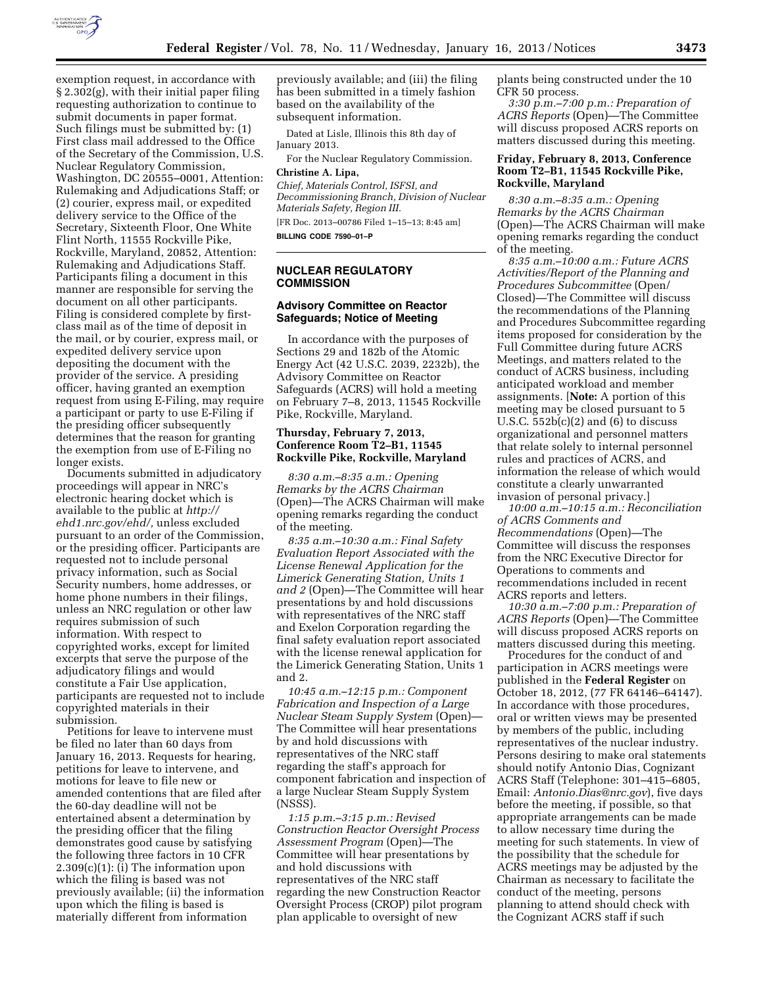

exemption request, in accordance with § 2.302(g), with their initial paper filing requesting authorization to continue to submit documents in paper format. Such filings must be submitted by: (1) First class mail addressed to the Office of the Secretary of the Commission, U.S. Nuclear Regulatory Commission, Washington, DC 20555–0001, Attention: Rulemaking and Adjudications Staff; or (2) courier, express mail, or expedited delivery service to the Office of the Secretary, Sixteenth Floor, One White Flint North, 11555 Rockville Pike, Rockville, Maryland, 20852, Attention: Rulemaking and Adjudications Staff. Participants filing a document in this manner are responsible for serving the document on all other participants. Filing is considered complete by firstclass mail as of the time of deposit in the mail, or by courier, express mail, or expedited delivery service upon depositing the document with the provider of the service. A presiding officer, having granted an exemption request from using E-Filing, may require a participant or party to use E-Filing if the presiding officer subsequently determines that the reason for granting the exemption from use of E-Filing no longer exists.

Documents submitted in adjudicatory proceedings will appear in NRC's electronic hearing docket which is available to the public at *[http://](http://ehd1.nrc.gov/ehd/)  [ehd1.nrc.gov/ehd/,](http://ehd1.nrc.gov/ehd/)* unless excluded pursuant to an order of the Commission, or the presiding officer. Participants are requested not to include personal privacy information, such as Social Security numbers, home addresses, or home phone numbers in their filings, unless an NRC regulation or other law requires submission of such information. With respect to copyrighted works, except for limited excerpts that serve the purpose of the adjudicatory filings and would constitute a Fair Use application, participants are requested not to include copyrighted materials in their submission.

Petitions for leave to intervene must be filed no later than 60 days from January 16, 2013. Requests for hearing, petitions for leave to intervene, and motions for leave to file new or amended contentions that are filed after the 60-day deadline will not be entertained absent a determination by the presiding officer that the filing demonstrates good cause by satisfying the following three factors in 10 CFR 2.309(c)(1): (i) The information upon which the filing is based was not previously available; (ii) the information upon which the filing is based is materially different from information

previously available; and (iii) the filing has been submitted in a timely fashion based on the availability of the subsequent information.

Dated at Lisle, Illinois this 8th day of January 2013.

For the Nuclear Regulatory Commission. **Christine A. Lipa,** 

*Chief, Materials Control, ISFSI, and Decommissioning Branch, Division of Nuclear Materials Safety, Region III.*  [FR Doc. 2013–00786 Filed 1–15–13; 8:45 am]

**BILLING CODE 7590–01–P** 

## **NUCLEAR REGULATORY COMMISSION**

#### **Advisory Committee on Reactor Safeguards; Notice of Meeting**

In accordance with the purposes of Sections 29 and 182b of the Atomic Energy Act (42 U.S.C. 2039, 2232b), the Advisory Committee on Reactor Safeguards (ACRS) will hold a meeting on February 7–8, 2013, 11545 Rockville Pike, Rockville, Maryland.

## **Thursday, February 7, 2013, Conference Room T2–B1, 11545 Rockville Pike, Rockville, Maryland**

*8:30 a.m.–8:35 a.m.: Opening Remarks by the ACRS Chairman*  (Open)—The ACRS Chairman will make opening remarks regarding the conduct of the meeting.

*8:35 a.m.–10:30 a.m.: Final Safety Evaluation Report Associated with the License Renewal Application for the Limerick Generating Station, Units 1 and 2* (Open)—The Committee will hear presentations by and hold discussions with representatives of the NRC staff and Exelon Corporation regarding the final safety evaluation report associated with the license renewal application for the Limerick Generating Station, Units 1 and 2.

*10:45 a.m.–12:15 p.m.: Component Fabrication and Inspection of a Large Nuclear Steam Supply System* (Open)— The Committee will hear presentations by and hold discussions with representatives of the NRC staff regarding the staff's approach for component fabrication and inspection of a large Nuclear Steam Supply System (NSSS).

*1:15 p.m.–3:15 p.m.: Revised Construction Reactor Oversight Process Assessment Program* (Open)—The Committee will hear presentations by and hold discussions with representatives of the NRC staff regarding the new Construction Reactor Oversight Process (CROP) pilot program plan applicable to oversight of new

plants being constructed under the 10 CFR 50 process.

*3:30 p.m.–7:00 p.m.: Preparation of ACRS Reports* (Open)—The Committee will discuss proposed ACRS reports on matters discussed during this meeting.

## **Friday, February 8, 2013, Conference Room T2–B1, 11545 Rockville Pike, Rockville, Maryland**

*8:30 a.m.–8:35 a.m.: Opening Remarks by the ACRS Chairman*  (Open)—The ACRS Chairman will make opening remarks regarding the conduct of the meeting.

*8:35 a.m.–10:00 a.m.: Future ACRS Activities/Report of the Planning and Procedures Subcommittee* (Open/ Closed)—The Committee will discuss the recommendations of the Planning and Procedures Subcommittee regarding items proposed for consideration by the Full Committee during future ACRS Meetings, and matters related to the conduct of ACRS business, including anticipated workload and member assignments. [**Note:** A portion of this meeting may be closed pursuant to 5 U.S.C.  $552b(c)(2)$  and  $(6)$  to discuss organizational and personnel matters that relate solely to internal personnel rules and practices of ACRS, and information the release of which would constitute a clearly unwarranted invasion of personal privacy.]

*10:00 a.m.–10:15 a.m.: Reconciliation of ACRS Comments and Recommendations* (Open)—The Committee will discuss the responses from the NRC Executive Director for Operations to comments and recommendations included in recent ACRS reports and letters.

*10:30 a.m.–7:00 p.m.: Preparation of ACRS Reports* (Open)—The Committee will discuss proposed ACRS reports on matters discussed during this meeting.

Procedures for the conduct of and participation in ACRS meetings were published in the **Federal Register** on October 18, 2012, (77 FR 64146–64147). In accordance with those procedures, oral or written views may be presented by members of the public, including representatives of the nuclear industry. Persons desiring to make oral statements should notify Antonio Dias, Cognizant ACRS Staff (Telephone: 301–415–6805, Email: *[Antonio.Dias@nrc.gov](mailto:Antonio.Dias@nrc.gov)*), five days before the meeting, if possible, so that appropriate arrangements can be made to allow necessary time during the meeting for such statements. In view of the possibility that the schedule for ACRS meetings may be adjusted by the Chairman as necessary to facilitate the conduct of the meeting, persons planning to attend should check with the Cognizant ACRS staff if such